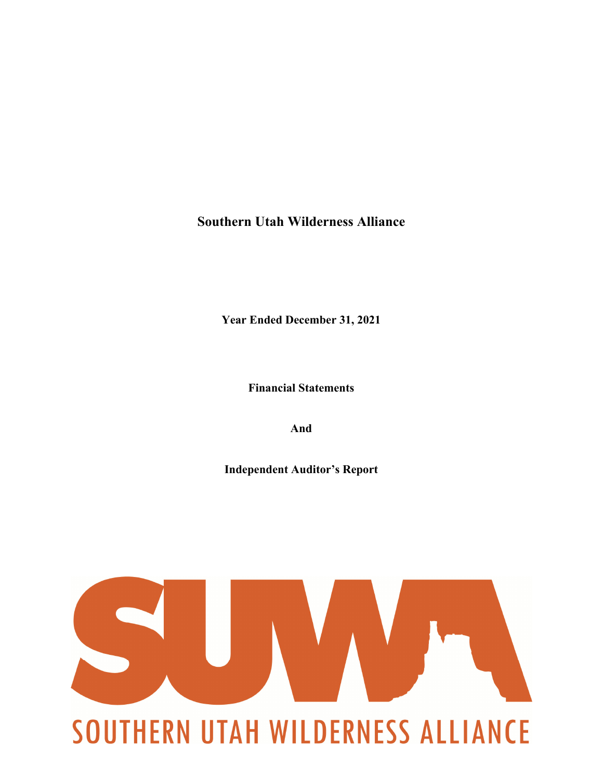**Year Ended December 31, 2021** 

**Financial Statements** 

**And** 

**Independent Auditor's Report** 

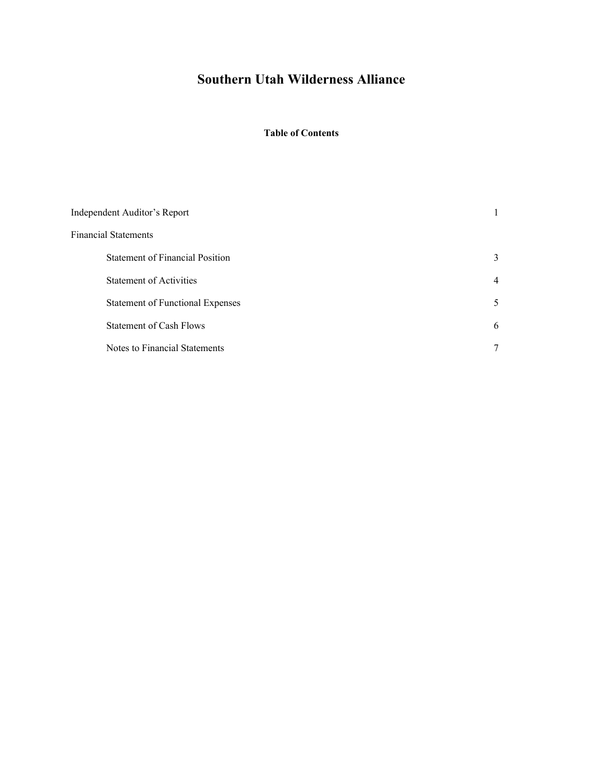# **Table of Contents**

| Independent Auditor's Report            |                |
|-----------------------------------------|----------------|
| <b>Financial Statements</b>             |                |
| <b>Statement of Financial Position</b>  | 3              |
| <b>Statement of Activities</b>          | $\overline{4}$ |
| <b>Statement of Functional Expenses</b> | 5              |
| Statement of Cash Flows                 | 6              |
| Notes to Financial Statements           | 7              |
|                                         |                |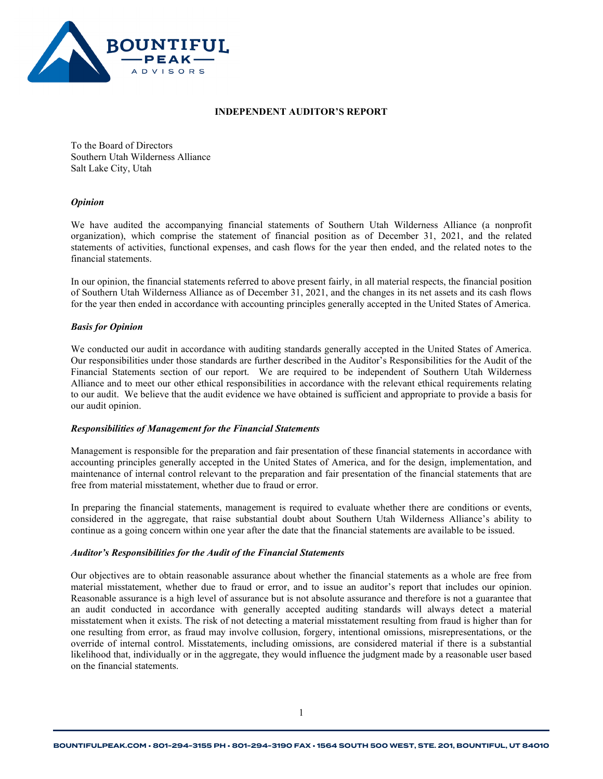

### **INDEPENDENT AUDITOR'S REPORT**

To the Board of Directors Southern Utah Wilderness Alliance Salt Lake City, Utah

#### *Opinion*

We have audited the accompanying financial statements of Southern Utah Wilderness Alliance (a nonprofit organization), which comprise the statement of financial position as of December 31, 2021, and the related statements of activities, functional expenses, and cash flows for the year then ended, and the related notes to the financial statements.

In our opinion, the financial statements referred to above present fairly, in all material respects, the financial position of Southern Utah Wilderness Alliance as of December 31, 2021, and the changes in its net assets and its cash flows for the year then ended in accordance with accounting principles generally accepted in the United States of America.

#### *Basis for Opinion*

We conducted our audit in accordance with auditing standards generally accepted in the United States of America. Our responsibilities under those standards are further described in the Auditor's Responsibilities for the Audit of the Financial Statements section of our report. We are required to be independent of Southern Utah Wilderness Alliance and to meet our other ethical responsibilities in accordance with the relevant ethical requirements relating to our audit. We believe that the audit evidence we have obtained is sufficient and appropriate to provide a basis for our audit opinion.

#### *Responsibilities of Management for the Financial Statements*

Management is responsible for the preparation and fair presentation of these financial statements in accordance with accounting principles generally accepted in the United States of America, and for the design, implementation, and maintenance of internal control relevant to the preparation and fair presentation of the financial statements that are free from material misstatement, whether due to fraud or error.

In preparing the financial statements, management is required to evaluate whether there are conditions or events, considered in the aggregate, that raise substantial doubt about Southern Utah Wilderness Alliance's ability to continue as a going concern within one year after the date that the financial statements are available to be issued.

#### *Auditor's Responsibilities for the Audit of the Financial Statements*

Our objectives are to obtain reasonable assurance about whether the financial statements as a whole are free from material misstatement, whether due to fraud or error, and to issue an auditor's report that includes our opinion. Reasonable assurance is a high level of assurance but is not absolute assurance and therefore is not a guarantee that an audit conducted in accordance with generally accepted auditing standards will always detect a material misstatement when it exists. The risk of not detecting a material misstatement resulting from fraud is higher than for one resulting from error, as fraud may involve collusion, forgery, intentional omissions, misrepresentations, or the override of internal control. Misstatements, including omissions, are considered material if there is a substantial likelihood that, individually or in the aggregate, they would influence the judgment made by a reasonable user based on the financial statements.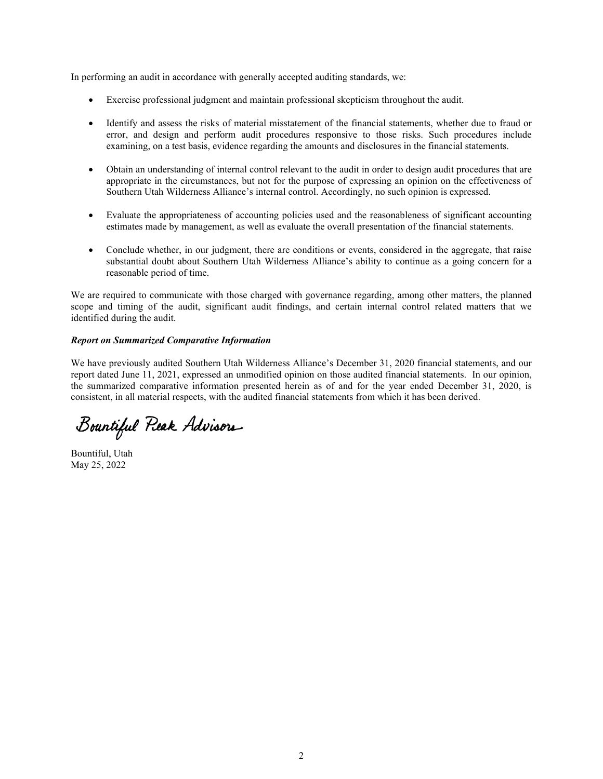In performing an audit in accordance with generally accepted auditing standards, we:

- Exercise professional judgment and maintain professional skepticism throughout the audit.
- Identify and assess the risks of material misstatement of the financial statements, whether due to fraud or error, and design and perform audit procedures responsive to those risks. Such procedures include examining, on a test basis, evidence regarding the amounts and disclosures in the financial statements.
- Obtain an understanding of internal control relevant to the audit in order to design audit procedures that are appropriate in the circumstances, but not for the purpose of expressing an opinion on the effectiveness of Southern Utah Wilderness Alliance's internal control. Accordingly, no such opinion is expressed.
- Evaluate the appropriateness of accounting policies used and the reasonableness of significant accounting estimates made by management, as well as evaluate the overall presentation of the financial statements.
- Conclude whether, in our judgment, there are conditions or events, considered in the aggregate, that raise substantial doubt about Southern Utah Wilderness Alliance's ability to continue as a going concern for a reasonable period of time.

We are required to communicate with those charged with governance regarding, among other matters, the planned scope and timing of the audit, significant audit findings, and certain internal control related matters that we identified during the audit.

### *Report on Summarized Comparative Information*

We have previously audited Southern Utah Wilderness Alliance's December 31, 2020 financial statements, and our report dated June 11, 2021, expressed an unmodified opinion on those audited financial statements. In our opinion, the summarized comparative information presented herein as of and for the year ended December 31, 2020, is consistent, in all material respects, with the audited financial statements from which it has been derived.

Bountiful Peak Advisors

Bountiful, Utah May 25, 2022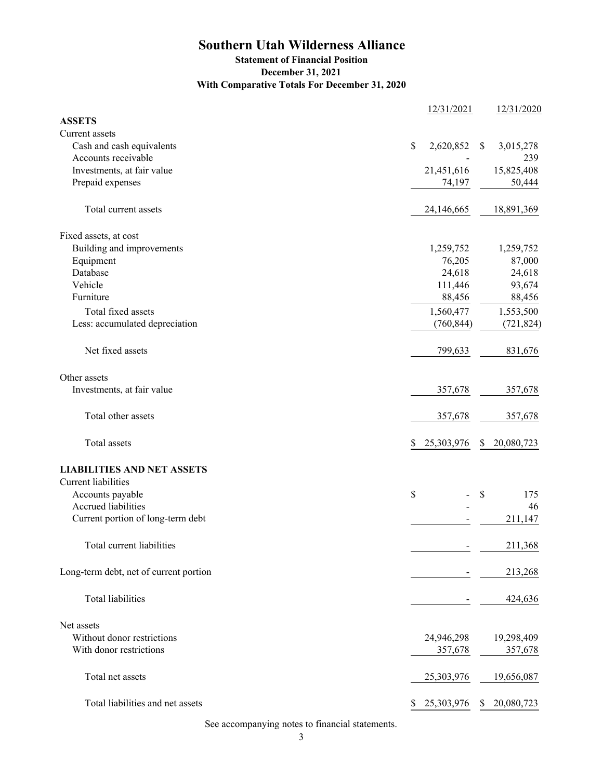# **Statement of Financial Position December 31, 2021**

**With Comparative Totals For December 31, 2020**

|                                        | 12/31/2021       | 12/31/2020       |
|----------------------------------------|------------------|------------------|
| <b>ASSETS</b>                          |                  |                  |
| Current assets                         |                  |                  |
| Cash and cash equivalents              | \$<br>2,620,852  | 3,015,278<br>\$  |
| Accounts receivable                    |                  | 239              |
| Investments, at fair value             | 21,451,616       | 15,825,408       |
| Prepaid expenses                       | 74,197           | 50,444           |
| Total current assets                   | 24,146,665       | 18,891,369       |
| Fixed assets, at cost                  |                  |                  |
| Building and improvements              | 1,259,752        | 1,259,752        |
| Equipment                              | 76,205           | 87,000           |
| Database                               | 24,618           | 24,618           |
| Vehicle                                |                  | 93,674           |
| Furniture                              | 111,446          |                  |
|                                        | 88,456           | 88,456           |
| Total fixed assets                     | 1,560,477        | 1,553,500        |
| Less: accumulated depreciation         | (760, 844)       | (721, 824)       |
| Net fixed assets                       | 799,633          | 831,676          |
| Other assets                           |                  |                  |
| Investments, at fair value             | 357,678          | 357,678          |
|                                        |                  |                  |
| Total other assets                     | 357,678          | 357,678          |
| Total assets                           | \$<br>25,303,976 | 20,080,723<br>\$ |
| <b>LIABILITIES AND NET ASSETS</b>      |                  |                  |
| Current liabilities                    |                  |                  |
| Accounts payable                       | \$<br>-          | \$<br>175        |
| Accrued liabilities                    |                  | 46               |
| Current portion of long-term debt      |                  | 211,147          |
| Total current liabilities              |                  | 211,368          |
|                                        |                  |                  |
| Long-term debt, net of current portion |                  | 213,268          |
| Total liabilities                      |                  | 424,636          |
| Net assets                             |                  |                  |
| Without donor restrictions             | 24,946,298       | 19,298,409       |
| With donor restrictions                | 357,678          | 357,678          |
| Total net assets                       | 25,303,976       | 19,656,087       |
|                                        |                  |                  |
| Total liabilities and net assets       | \$ 25,303,976    | \$ 20,080,723    |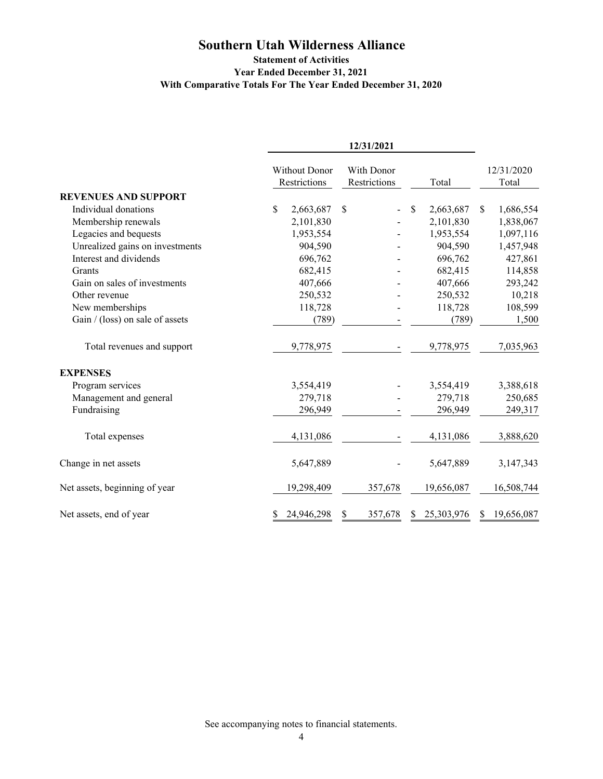# **Statement of Activities Year Ended December 31, 2021**

# **With Comparative Totals For The Year Ended December 31, 2020**

|                                 | 12/31/2021                           |            |                            |         |    |            |              |                     |
|---------------------------------|--------------------------------------|------------|----------------------------|---------|----|------------|--------------|---------------------|
|                                 | <b>Without Donor</b><br>Restrictions |            | With Donor<br>Restrictions |         |    | Total      |              | 12/31/2020<br>Total |
| <b>REVENUES AND SUPPORT</b>     |                                      |            |                            |         |    |            |              |                     |
| Individual donations            | \$                                   | 2,663,687  | $\mathcal{S}$              |         | \$ | 2,663,687  | $\mathbb{S}$ | 1,686,554           |
| Membership renewals             |                                      | 2,101,830  |                            |         |    | 2,101,830  |              | 1,838,067           |
| Legacies and bequests           |                                      | 1,953,554  |                            |         |    | 1,953,554  |              | 1,097,116           |
| Unrealized gains on investments |                                      | 904,590    |                            |         |    | 904,590    |              | 1,457,948           |
| Interest and dividends          |                                      | 696,762    |                            |         |    | 696,762    |              | 427,861             |
| Grants                          |                                      | 682,415    |                            |         |    | 682,415    |              | 114,858             |
| Gain on sales of investments    |                                      | 407,666    |                            |         |    | 407,666    |              | 293,242             |
| Other revenue                   |                                      | 250,532    |                            |         |    | 250,532    |              | 10,218              |
| New memberships                 |                                      | 118,728    |                            |         |    | 118,728    |              | 108,599             |
| Gain / (loss) on sale of assets |                                      | (789)      |                            |         |    | (789)      |              | 1,500               |
| Total revenues and support      |                                      | 9,778,975  |                            |         |    | 9,778,975  |              | 7,035,963           |
| <b>EXPENSES</b>                 |                                      |            |                            |         |    |            |              |                     |
| Program services                |                                      | 3,554,419  |                            |         |    | 3,554,419  |              | 3,388,618           |
| Management and general          |                                      | 279,718    |                            |         |    | 279,718    |              | 250,685             |
| Fundraising                     |                                      | 296,949    |                            |         |    | 296,949    |              | 249,317             |
| Total expenses                  |                                      | 4,131,086  |                            |         |    | 4,131,086  |              | 3,888,620           |
| Change in net assets            |                                      | 5,647,889  |                            |         |    | 5,647,889  |              | 3,147,343           |
| Net assets, beginning of year   |                                      | 19,298,409 |                            | 357,678 |    | 19,656,087 |              | 16,508,744          |
| Net assets, end of year         |                                      | 24,946,298 | \$                         | 357,678 | S  | 25,303,976 | S            | 19,656,087          |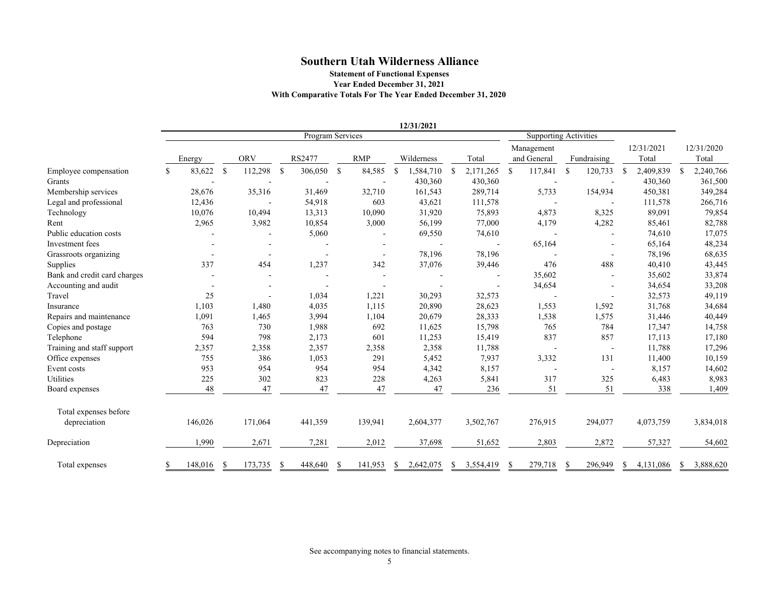#### **Statement of Functional Expenses Year Ended December 31, 2021 With Comparative Totals For The Year Ended December 31, 2020**

|                              |    |                  |    |                          |      |         |    |            |            | 12/31/2021 |   |                       |    |             |               |             |               |           |               |           |
|------------------------------|----|------------------|----|--------------------------|------|---------|----|------------|------------|------------|---|-----------------------|----|-------------|---------------|-------------|---------------|-----------|---------------|-----------|
|                              |    | Program Services |    |                          |      |         |    |            |            |            |   | Supporting Activities |    |             |               |             |               |           |               |           |
|                              |    |                  |    |                          |      |         |    |            | Management |            |   |                       |    | 12/31/2021  | 12/31/2020    |             |               |           |               |           |
|                              |    | Energy           |    | <b>ORV</b>               |      | RS2477  |    | <b>RMP</b> |            | Wilderness |   | Total                 |    | and General |               | Fundraising |               | Total     |               | Total     |
| Employee compensation        | S  | 83,622           | -S | 112,298                  | - \$ | 306,050 | -S | 84,585     |            | 1,584,710  |   | 2,171,265             |    | 117,841     | <sup>\$</sup> | 120,733     | <sup>\$</sup> | 2,409,839 | <sup>\$</sup> | 2,240,766 |
| Grants                       |    |                  |    |                          |      |         |    |            |            | 430,360    |   | 430,360               |    |             |               |             |               | 430,360   |               | 361,500   |
| Membership services          |    | 28,676           |    | 35,316                   |      | 31,469  |    | 32,710     |            | 161,543    |   | 289,714               |    | 5,733       |               | 154,934     |               | 450,381   |               | 349,284   |
| Legal and professional       |    | 12,436           |    |                          |      | 54,918  |    | 603        |            | 43,621     |   | 111,578               |    |             |               |             |               | 111,578   |               | 266,716   |
| Technology                   |    | 10,076           |    | 10,494                   |      | 13,313  |    | 10,090     |            | 31,920     |   | 75,893                |    | 4,873       |               | 8,325       |               | 89,091    |               | 79,854    |
| Rent                         |    | 2,965            |    | 3,982                    |      | 10,854  |    | 3,000      |            | 56,199     |   | 77,000                |    | 4,179       |               | 4,282       |               | 85,461    |               | 82,788    |
| Public education costs       |    |                  |    |                          |      | 5,060   |    |            |            | 69,550     |   | 74,610                |    |             |               |             |               | 74,610    |               | 17,075    |
| Investment fees              |    |                  |    |                          |      |         |    |            |            |            |   |                       |    | 65,164      |               |             |               | 65,164    |               | 48,234    |
| Grassroots organizing        |    |                  |    | $\overline{\phantom{a}}$ |      |         |    |            |            | 78,196     |   | 78,196                |    |             |               |             |               | 78,196    |               | 68,635    |
| Supplies                     |    | 337              |    | 454                      |      | 1,237   |    | 342        |            | 37,076     |   | 39,446                |    | 476         |               | 488         |               | 40,410    |               | 43,445    |
| Bank and credit card charges |    |                  |    |                          |      |         |    |            |            |            |   |                       |    | 35,602      |               |             |               | 35,602    |               | 33,874    |
| Accounting and audit         |    |                  |    |                          |      |         |    |            |            |            |   |                       |    | 34,654      |               |             |               | 34,654    |               | 33,208    |
| Travel                       |    | 25               |    |                          |      | 1,034   |    | 1,221      |            | 30,293     |   | 32,573                |    |             |               |             |               | 32,573    |               | 49,119    |
| Insurance                    |    | 1,103            |    | 1,480                    |      | 4,035   |    | 1,115      |            | 20,890     |   | 28,623                |    | 1,553       |               | 1,592       |               | 31,768    |               | 34,684    |
| Repairs and maintenance      |    | 1,091            |    | 1,465                    |      | 3,994   |    | 1,104      |            | 20,679     |   | 28,333                |    | 1,538       |               | 1,575       |               | 31,446    |               | 40,449    |
| Copies and postage           |    | 763              |    | 730                      |      | 1,988   |    | 692        |            | 11,625     |   | 15,798                |    | 765         |               | 784         |               | 17,347    |               | 14,758    |
| Telephone                    |    | 594              |    | 798                      |      | 2,173   |    | 601        |            | 11,253     |   | 15,419                |    | 837         |               | 857         |               | 17,113    |               | 17,180    |
| Training and staff support   |    | 2,357            |    | 2,358                    |      | 2,357   |    | 2,358      |            | 2,358      |   | 11,788                |    |             |               |             |               | 11,788    |               | 17,296    |
| Office expenses              |    | 755              |    | 386                      |      | 1,053   |    | 291        |            | 5,452      |   | 7,937                 |    | 3,332       |               | 131         |               | 11,400    |               | 10,159    |
| Event costs                  |    | 953              |    | 954                      |      | 954     |    | 954        |            | 4,342      |   | 8,157                 |    |             |               |             |               | 8,157     |               | 14,602    |
| Utilities                    |    | 225              |    | 302                      |      | 823     |    | 228        |            | 4,263      |   | 5,841                 |    | 317         |               | 325         |               | 6,483     |               | 8,983     |
| Board expenses               |    | 48               |    | 47                       |      | 47      |    | 47         |            | 47         |   | 236                   |    | 51          |               | 51          |               | 338       |               | 1,409     |
| Total expenses before        |    |                  |    |                          |      |         |    |            |            |            |   |                       |    |             |               |             |               |           |               |           |
| depreciation                 |    | 146,026          |    | 171,064                  |      | 441,359 |    | 139,941    |            | 2,604,377  |   | 3,502,767             |    | 276,915     |               | 294,077     |               | 4,073,759 |               | 3,834,018 |
| Depreciation                 |    | 1,990            |    | 2,671                    |      | 7,281   |    | 2,012      |            | 37,698     |   | 51,652                |    | 2,803       |               | 2,872       |               | 57,327    |               | 54,602    |
| Total expenses               | \$ | 148,016          | -S | 173,735                  | -S   | 448,640 | -S | 141,953    |            | 2,642,075  | S | 3.554.419             | -S | 279,718     | <sup>\$</sup> | 296,949     | S             | 4,131,086 | S             | 3,888,620 |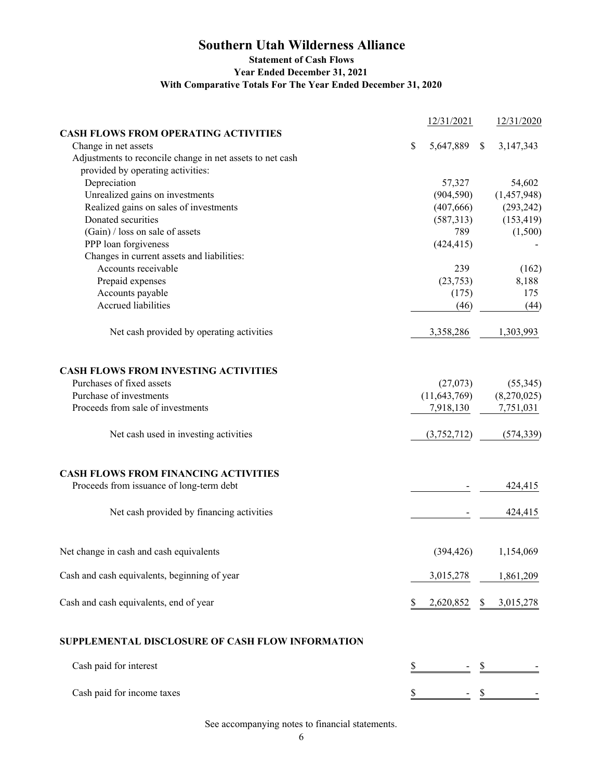# **Statement of Cash Flows Year Ended December 31, 2021**

# **With Comparative Totals For The Year Ended December 31, 2020**

|                                                           | 12/31/2021      |              | 12/31/2020  |
|-----------------------------------------------------------|-----------------|--------------|-------------|
| <b>CASH FLOWS FROM OPERATING ACTIVITIES</b>               |                 |              |             |
| Change in net assets                                      | \$<br>5,647,889 | $\mathbb{S}$ | 3,147,343   |
| Adjustments to reconcile change in net assets to net cash |                 |              |             |
| provided by operating activities:                         |                 |              |             |
| Depreciation                                              | 57,327          |              | 54,602      |
| Unrealized gains on investments                           | (904, 590)      |              | (1,457,948) |
| Realized gains on sales of investments                    | (407, 666)      |              | (293, 242)  |
| Donated securities                                        | (587,313)       |              | (153, 419)  |
| (Gain) / loss on sale of assets                           | 789             |              | (1,500)     |
| PPP loan forgiveness                                      | (424, 415)      |              |             |
| Changes in current assets and liabilities:                |                 |              |             |
| Accounts receivable                                       | 239             |              | (162)       |
| Prepaid expenses                                          | (23,753)        |              | 8,188       |
| Accounts payable                                          | (175)           |              | 175         |
| <b>Accrued liabilities</b>                                | (46)            |              | (44)        |
| Net cash provided by operating activities                 | 3,358,286       |              | 1,303,993   |
| <b>CASH FLOWS FROM INVESTING ACTIVITIES</b>               |                 |              |             |
| Purchases of fixed assets                                 | (27,073)        |              | (55,345)    |
| Purchase of investments                                   | (11, 643, 769)  |              | (8,270,025) |
| Proceeds from sale of investments                         | 7,918,130       |              | 7,751,031   |
| Net cash used in investing activities                     | (3,752,712)     |              | (574, 339)  |
| <b>CASH FLOWS FROM FINANCING ACTIVITIES</b>               |                 |              |             |
| Proceeds from issuance of long-term debt                  |                 |              | 424,415     |
| Net cash provided by financing activities                 |                 |              | 424,415     |
| Net change in cash and cash equivalents                   | (394, 426)      |              | 1,154,069   |
| Cash and cash equivalents, beginning of year              | 3,015,278       |              | 1,861,209   |
| Cash and cash equivalents, end of year                    | \$<br>2,620,852 | S.           | 3,015,278   |
| SUPPLEMENTAL DISCLOSURE OF CASH FLOW INFORMATION          |                 |              |             |

| Cash paid for interest     | $\overline{\phantom{a}}$ | $\overline{\phantom{0}}$ |
|----------------------------|--------------------------|--------------------------|
|                            |                          |                          |
| Cash paid for income taxes | $\overline{\phantom{0}}$ | $\overline{\phantom{a}}$ |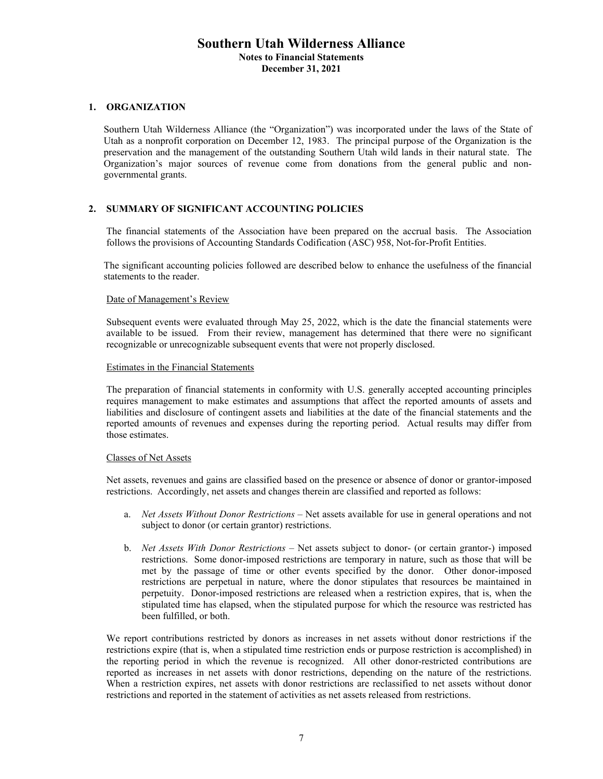# **Southern Utah Wilderness Alliance Notes to Financial Statements December 31, 2021**

#### **1. ORGANIZATION**

Southern Utah Wilderness Alliance (the "Organization") was incorporated under the laws of the State of Utah as a nonprofit corporation on December 12, 1983. The principal purpose of the Organization is the preservation and the management of the outstanding Southern Utah wild lands in their natural state. The Organization's major sources of revenue come from donations from the general public and nongovernmental grants.

# **2. SUMMARY OF SIGNIFICANT ACCOUNTING POLICIES**

The financial statements of the Association have been prepared on the accrual basis. The Association follows the provisions of Accounting Standards Codification (ASC) 958, Not-for-Profit Entities.

The significant accounting policies followed are described below to enhance the usefulness of the financial statements to the reader.

### Date of Management's Review

Subsequent events were evaluated through May 25, 2022, which is the date the financial statements were available to be issued. From their review, management has determined that there were no significant recognizable or unrecognizable subsequent events that were not properly disclosed.

#### Estimates in the Financial Statements

The preparation of financial statements in conformity with U.S. generally accepted accounting principles requires management to make estimates and assumptions that affect the reported amounts of assets and liabilities and disclosure of contingent assets and liabilities at the date of the financial statements and the reported amounts of revenues and expenses during the reporting period. Actual results may differ from those estimates.

#### Classes of Net Assets

Net assets, revenues and gains are classified based on the presence or absence of donor or grantor-imposed restrictions. Accordingly, net assets and changes therein are classified and reported as follows:

- a. *Net Assets Without Donor Restrictions* Net assets available for use in general operations and not subject to donor (or certain grantor) restrictions.
- b. *Net Assets With Donor Restrictions* Net assets subject to donor- (or certain grantor-) imposed restrictions. Some donor-imposed restrictions are temporary in nature, such as those that will be met by the passage of time or other events specified by the donor. Other donor-imposed restrictions are perpetual in nature, where the donor stipulates that resources be maintained in perpetuity. Donor-imposed restrictions are released when a restriction expires, that is, when the stipulated time has elapsed, when the stipulated purpose for which the resource was restricted has been fulfilled, or both.

We report contributions restricted by donors as increases in net assets without donor restrictions if the restrictions expire (that is, when a stipulated time restriction ends or purpose restriction is accomplished) in the reporting period in which the revenue is recognized. All other donor-restricted contributions are reported as increases in net assets with donor restrictions, depending on the nature of the restrictions. When a restriction expires, net assets with donor restrictions are reclassified to net assets without donor restrictions and reported in the statement of activities as net assets released from restrictions.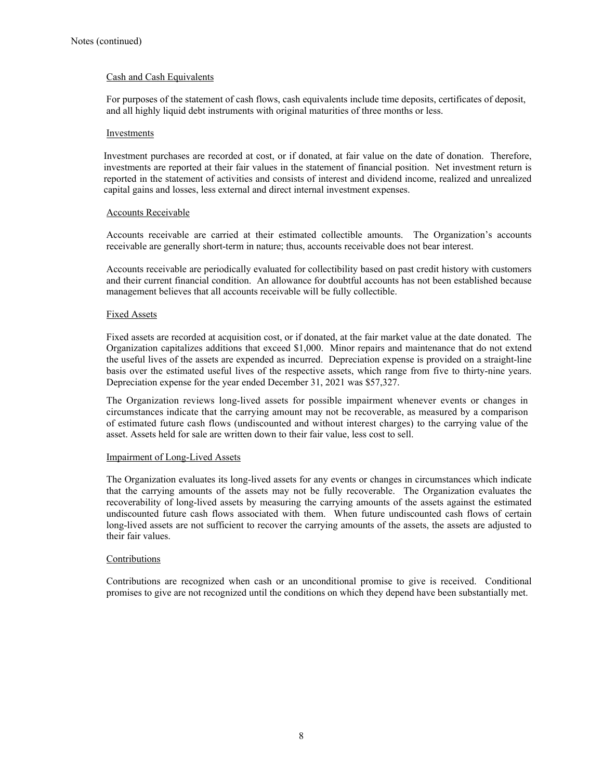### Cash and Cash Equivalents

For purposes of the statement of cash flows, cash equivalents include time deposits, certificates of deposit, and all highly liquid debt instruments with original maturities of three months or less.

#### Investments

Investment purchases are recorded at cost, or if donated, at fair value on the date of donation. Therefore, investments are reported at their fair values in the statement of financial position. Net investment return is reported in the statement of activities and consists of interest and dividend income, realized and unrealized capital gains and losses, less external and direct internal investment expenses.

#### Accounts Receivable

Accounts receivable are carried at their estimated collectible amounts. The Organization's accounts receivable are generally short-term in nature; thus, accounts receivable does not bear interest.

Accounts receivable are periodically evaluated for collectibility based on past credit history with customers and their current financial condition. An allowance for doubtful accounts has not been established because management believes that all accounts receivable will be fully collectible.

#### Fixed Assets

Fixed assets are recorded at acquisition cost, or if donated, at the fair market value at the date donated. The Organization capitalizes additions that exceed \$1,000. Minor repairs and maintenance that do not extend the useful lives of the assets are expended as incurred. Depreciation expense is provided on a straight-line basis over the estimated useful lives of the respective assets, which range from five to thirty-nine years. Depreciation expense for the year ended December 31, 2021 was \$57,327.

The Organization reviews long-lived assets for possible impairment whenever events or changes in circumstances indicate that the carrying amount may not be recoverable, as measured by a comparison of estimated future cash flows (undiscounted and without interest charges) to the carrying value of the asset. Assets held for sale are written down to their fair value, less cost to sell.

#### Impairment of Long-Lived Assets

The Organization evaluates its long-lived assets for any events or changes in circumstances which indicate that the carrying amounts of the assets may not be fully recoverable. The Organization evaluates the recoverability of long-lived assets by measuring the carrying amounts of the assets against the estimated undiscounted future cash flows associated with them. When future undiscounted cash flows of certain long-lived assets are not sufficient to recover the carrying amounts of the assets, the assets are adjusted to their fair values.

#### Contributions

Contributions are recognized when cash or an unconditional promise to give is received. Conditional promises to give are not recognized until the conditions on which they depend have been substantially met.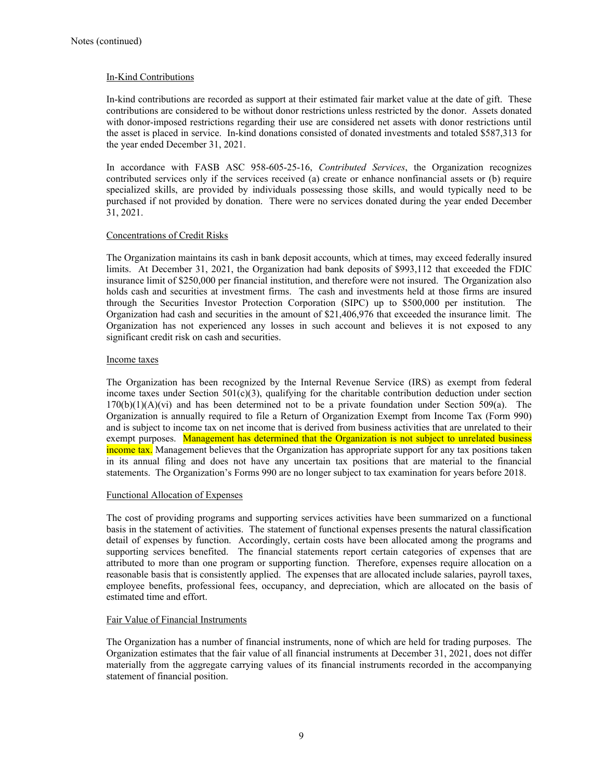# In-Kind Contributions

In-kind contributions are recorded as support at their estimated fair market value at the date of gift. These contributions are considered to be without donor restrictions unless restricted by the donor. Assets donated with donor-imposed restrictions regarding their use are considered net assets with donor restrictions until the asset is placed in service. In-kind donations consisted of donated investments and totaled \$587,313 for the year ended December 31, 2021.

In accordance with FASB ASC 958-605-25-16, *Contributed Services*, the Organization recognizes contributed services only if the services received (a) create or enhance nonfinancial assets or (b) require specialized skills, are provided by individuals possessing those skills, and would typically need to be purchased if not provided by donation. There were no services donated during the year ended December 31, 2021.

# Concentrations of Credit Risks

The Organization maintains its cash in bank deposit accounts, which at times, may exceed federally insured limits. At December 31, 2021, the Organization had bank deposits of \$993,112 that exceeded the FDIC insurance limit of \$250,000 per financial institution, and therefore were not insured. The Organization also holds cash and securities at investment firms. The cash and investments held at those firms are insured through the Securities Investor Protection Corporation (SIPC) up to \$500,000 per institution. The Organization had cash and securities in the amount of \$21,406,976 that exceeded the insurance limit. The Organization has not experienced any losses in such account and believes it is not exposed to any significant credit risk on cash and securities.

# Income taxes

The Organization has been recognized by the Internal Revenue Service (IRS) as exempt from federal income taxes under Section  $501(c)(3)$ , qualifying for the charitable contribution deduction under section  $170(b)(1)(A)(vi)$  and has been determined not to be a private foundation under Section 509(a). The Organization is annually required to file a Return of Organization Exempt from Income Tax (Form 990) and is subject to income tax on net income that is derived from business activities that are unrelated to their exempt purposes. Management has determined that the Organization is not subject to unrelated business income tax. Management believes that the Organization has appropriate support for any tax positions taken in its annual filing and does not have any uncertain tax positions that are material to the financial statements. The Organization's Forms 990 are no longer subject to tax examination for years before 2018.

# Functional Allocation of Expenses

The cost of providing programs and supporting services activities have been summarized on a functional basis in the statement of activities. The statement of functional expenses presents the natural classification detail of expenses by function. Accordingly, certain costs have been allocated among the programs and supporting services benefited. The financial statements report certain categories of expenses that are attributed to more than one program or supporting function. Therefore, expenses require allocation on a reasonable basis that is consistently applied. The expenses that are allocated include salaries, payroll taxes, employee benefits, professional fees, occupancy, and depreciation, which are allocated on the basis of estimated time and effort.

#### Fair Value of Financial Instruments

The Organization has a number of financial instruments, none of which are held for trading purposes. The Organization estimates that the fair value of all financial instruments at December 31, 2021, does not differ materially from the aggregate carrying values of its financial instruments recorded in the accompanying statement of financial position.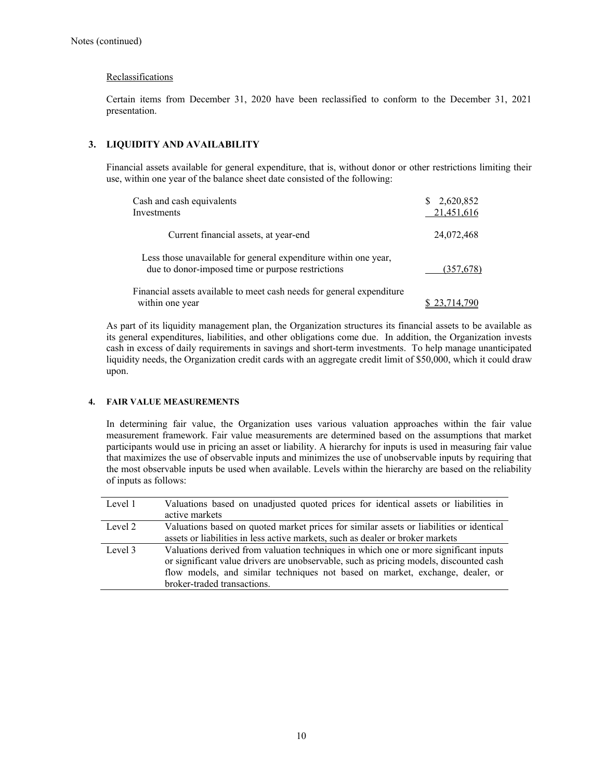### **Reclassifications**

Certain items from December 31, 2020 have been reclassified to conform to the December 31, 2021 presentation.

# **3. LIQUIDITY AND AVAILABILITY**

Financial assets available for general expenditure, that is, without donor or other restrictions limiting their use, within one year of the balance sheet date consisted of the following:

| Cash and cash equivalents                                                                                            | \$2,620,852  |
|----------------------------------------------------------------------------------------------------------------------|--------------|
| Investments                                                                                                          | 21,451,616   |
| Current financial assets, at year-end                                                                                | 24,072,468   |
| Less those unavailable for general expenditure within one year,<br>due to donor-imposed time or purpose restrictions | (357,678)    |
|                                                                                                                      |              |
| Financial assets available to meet cash needs for general expenditure<br>within one year                             | \$23,714,790 |

As part of its liquidity management plan, the Organization structures its financial assets to be available as its general expenditures, liabilities, and other obligations come due. In addition, the Organization invests cash in excess of daily requirements in savings and short-term investments. To help manage unanticipated liquidity needs, the Organization credit cards with an aggregate credit limit of \$50,000, which it could draw upon.

# **4. FAIR VALUE MEASUREMENTS**

In determining fair value, the Organization uses various valuation approaches within the fair value measurement framework. Fair value measurements are determined based on the assumptions that market participants would use in pricing an asset or liability. A hierarchy for inputs is used in measuring fair value that maximizes the use of observable inputs and minimizes the use of unobservable inputs by requiring that the most observable inputs be used when available. Levels within the hierarchy are based on the reliability of inputs as follows:

| Level 1 | Valuations based on unadjusted quoted prices for identical assets or liabilities in                                                                                                                                                                                                            |
|---------|------------------------------------------------------------------------------------------------------------------------------------------------------------------------------------------------------------------------------------------------------------------------------------------------|
|         | active markets                                                                                                                                                                                                                                                                                 |
| Level 2 | Valuations based on quoted market prices for similar assets or liabilities or identical                                                                                                                                                                                                        |
|         | assets or liabilities in less active markets, such as dealer or broker markets                                                                                                                                                                                                                 |
| Level 3 | Valuations derived from valuation techniques in which one or more significant inputs<br>or significant value drivers are unobservable, such as pricing models, discounted cash<br>flow models, and similar techniques not based on market, exchange, dealer, or<br>broker-traded transactions. |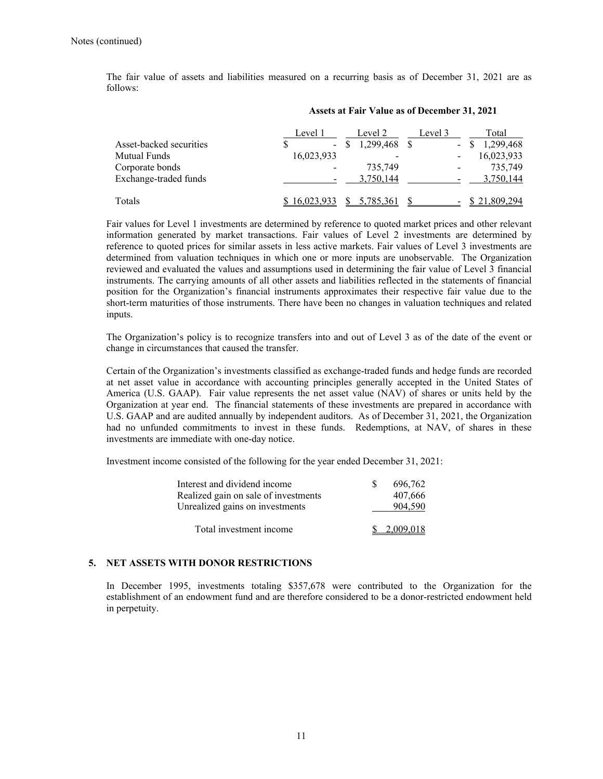The fair value of assets and liabilities measured on a recurring basis as of December 31, 2021 are as follows:

| Asset-backed securities<br>Mutual Funds<br>Corporate bonds<br>Exchange-traded funds | Level 1<br>$\blacksquare$<br>16,023,933 | Level 2<br>1,299,468 \$<br><sup>S</sup><br>735,749<br>3,750,144 | Level 3<br>$\sim$ | Total<br>1,299,468<br>-S<br>16,023,933<br>735,749<br>3,750,144 |
|-------------------------------------------------------------------------------------|-----------------------------------------|-----------------------------------------------------------------|-------------------|----------------------------------------------------------------|
| Totals                                                                              | \$16,023,933                            | 5,785,361                                                       |                   | \$21,809,294                                                   |

#### **Assets at Fair Value as of December 31, 2021**

Fair values for Level 1 investments are determined by reference to quoted market prices and other relevant information generated by market transactions. Fair values of Level 2 investments are determined by reference to quoted prices for similar assets in less active markets. Fair values of Level 3 investments are determined from valuation techniques in which one or more inputs are unobservable. The Organization reviewed and evaluated the values and assumptions used in determining the fair value of Level 3 financial instruments. The carrying amounts of all other assets and liabilities reflected in the statements of financial position for the Organization's financial instruments approximates their respective fair value due to the short-term maturities of those instruments. There have been no changes in valuation techniques and related inputs.

The Organization's policy is to recognize transfers into and out of Level 3 as of the date of the event or change in circumstances that caused the transfer.

Certain of the Organization's investments classified as exchange-traded funds and hedge funds are recorded at net asset value in accordance with accounting principles generally accepted in the United States of America (U.S. GAAP). Fair value represents the net asset value (NAV) of shares or units held by the Organization at year end. The financial statements of these investments are prepared in accordance with U.S. GAAP and are audited annually by independent auditors. As of December 31, 2021, the Organization had no unfunded commitments to invest in these funds. Redemptions, at NAV, of shares in these investments are immediate with one-day notice.

Investment income consisted of the following for the year ended December 31, 2021:

| Interest and dividend income<br>Realized gain on sale of investments<br>Unrealized gains on investments | 696.762<br>407.666<br>904,590 |
|---------------------------------------------------------------------------------------------------------|-------------------------------|
| Total investment income                                                                                 | 2.009.018                     |

#### **5. NET ASSETS WITH DONOR RESTRICTIONS**

In December 1995, investments totaling \$357,678 were contributed to the Organization for the establishment of an endowment fund and are therefore considered to be a donor-restricted endowment held in perpetuity.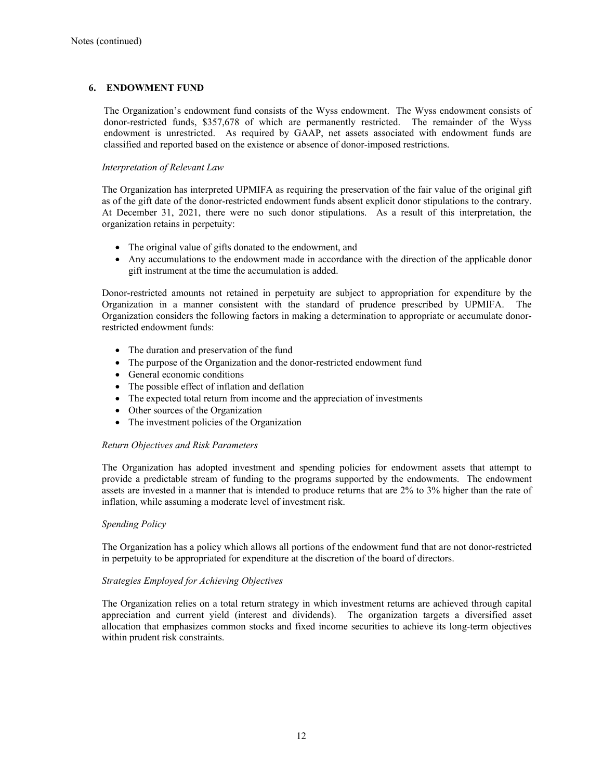# **6. ENDOWMENT FUND**

The Organization's endowment fund consists of the Wyss endowment. The Wyss endowment consists of donor-restricted funds, \$357,678 of which are permanently restricted. The remainder of the Wyss endowment is unrestricted. As required by GAAP, net assets associated with endowment funds are classified and reported based on the existence or absence of donor-imposed restrictions.

# *Interpretation of Relevant Law*

The Organization has interpreted UPMIFA as requiring the preservation of the fair value of the original gift as of the gift date of the donor-restricted endowment funds absent explicit donor stipulations to the contrary. At December 31, 2021, there were no such donor stipulations. As a result of this interpretation, the organization retains in perpetuity:

- The original value of gifts donated to the endowment, and
- Any accumulations to the endowment made in accordance with the direction of the applicable donor gift instrument at the time the accumulation is added.

Donor-restricted amounts not retained in perpetuity are subject to appropriation for expenditure by the Organization in a manner consistent with the standard of prudence prescribed by UPMIFA. The Organization considers the following factors in making a determination to appropriate or accumulate donorrestricted endowment funds:

- The duration and preservation of the fund
- The purpose of the Organization and the donor-restricted endowment fund
- General economic conditions
- The possible effect of inflation and deflation
- The expected total return from income and the appreciation of investments
- Other sources of the Organization
- The investment policies of the Organization

# *Return Objectives and Risk Parameters*

The Organization has adopted investment and spending policies for endowment assets that attempt to provide a predictable stream of funding to the programs supported by the endowments. The endowment assets are invested in a manner that is intended to produce returns that are 2% to 3% higher than the rate of inflation, while assuming a moderate level of investment risk.

# *Spending Policy*

The Organization has a policy which allows all portions of the endowment fund that are not donor-restricted in perpetuity to be appropriated for expenditure at the discretion of the board of directors.

# *Strategies Employed for Achieving Objectives*

The Organization relies on a total return strategy in which investment returns are achieved through capital appreciation and current yield (interest and dividends). The organization targets a diversified asset allocation that emphasizes common stocks and fixed income securities to achieve its long-term objectives within prudent risk constraints.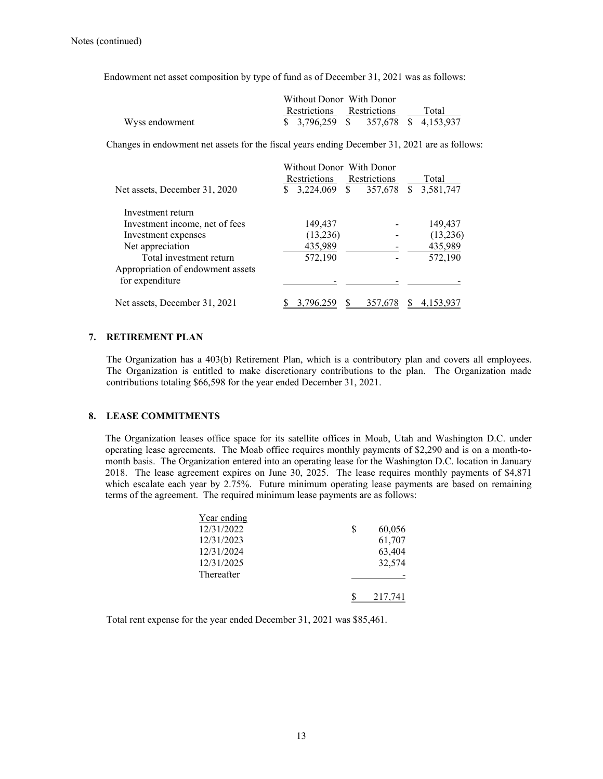Endowment net asset composition by type of fund as of December 31, 2021 was as follows:

|                | Without Donor With Donor |                           |                                      |
|----------------|--------------------------|---------------------------|--------------------------------------|
|                |                          | Restrictions Restrictions | Total                                |
| Wyss endowment |                          |                           | $$3.796.259$ $$357.678$ $$4.153.937$ |

Changes in endowment net assets for the fiscal years ending December 31, 2021 are as follows:

|                                   | Without Donor With Donor |              |              |              |           |
|-----------------------------------|--------------------------|--------------|--------------|--------------|-----------|
|                                   | Restrictions             |              | Restrictions |              | Total     |
| Net assets, December 31, 2020     |                          | 3,224,069 \$ | 357,678      | <sup>S</sup> | 3,581,747 |
| Investment return                 |                          |              |              |              |           |
| Investment income, net of fees    |                          | 149,437      |              |              | 149,437   |
| Investment expenses               |                          | (13,236)     |              |              | (13,236)  |
| Net appreciation                  |                          | 435,989      |              |              | 435,989   |
| Total investment return           |                          | 572,190      |              |              | 572,190   |
| Appropriation of endowment assets |                          |              |              |              |           |
| for expenditure                   |                          |              |              |              |           |
| Net assets, December 31, 2021     |                          | 3.796.25     | 357,678      |              | 4.153.937 |

# **7. RETIREMENT PLAN**

The Organization has a 403(b) Retirement Plan, which is a contributory plan and covers all employees. The Organization is entitled to make discretionary contributions to the plan. The Organization made contributions totaling \$66,598 for the year ended December 31, 2021.

#### **8. LEASE COMMITMENTS**

The Organization leases office space for its satellite offices in Moab, Utah and Washington D.C. under operating lease agreements. The Moab office requires monthly payments of \$2,290 and is on a month-tomonth basis. The Organization entered into an operating lease for the Washington D.C. location in January 2018. The lease agreement expires on June 30, 2025. The lease requires monthly payments of \$4,871 which escalate each year by 2.75%. Future minimum operating lease payments are based on remaining terms of the agreement. The required minimum lease payments are as follows:

| Year ending |              |
|-------------|--------------|
| 12/31/2022  | \$<br>60,056 |
| 12/31/2023  | 61,707       |
| 12/31/2024  | 63,404       |
| 12/31/2025  | 32,574       |
| Thereafter  |              |
|             |              |
|             | 217.741      |

Total rent expense for the year ended December 31, 2021 was \$85,461.